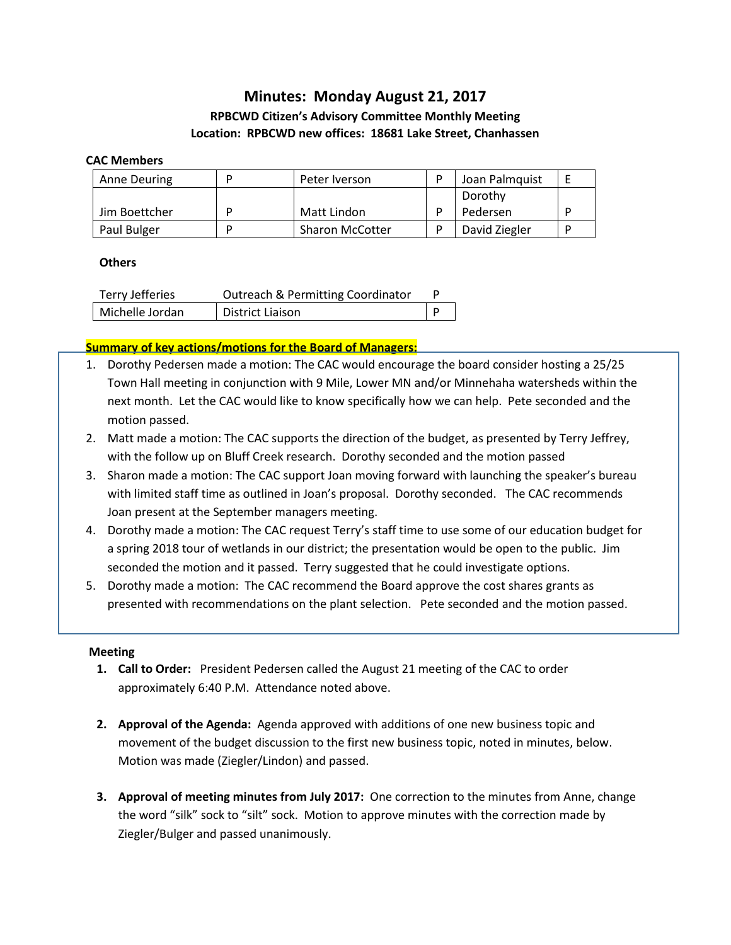# **Minutes: Monday August 21, 2017**

## **RPBCWD Citizen's Advisory Committee Monthly Meeting Location: RPBCWD new offices: 18681 Lake Street, Chanhassen**

#### **CAC Members**

| Anne Deuring  | Peter Iverson          | Joan Palmquist |  |
|---------------|------------------------|----------------|--|
|               |                        | Dorothy        |  |
| Jim Boettcher | Matt Lindon            | Pedersen       |  |
| Paul Bulger   | <b>Sharon McCotter</b> | David Ziegler  |  |

### **Others**

| Terry Jefferies | <b>Outreach &amp; Permitting Coordinator</b> |  |
|-----------------|----------------------------------------------|--|
| Michelle Jordan | <b>District Liaison</b>                      |  |

### **Summary of key actions/motions for the Board of Managers:**

- 1. Dorothy Pedersen made a motion: The CAC would encourage the board consider hosting a 25/25 Town Hall meeting in conjunction with 9 Mile, Lower MN and/or Minnehaha watersheds within the next month. Let the CAC would like to know specifically how we can help. Pete seconded and the motion passed.
- 2. Matt made a motion: The CAC supports the direction of the budget, as presented by Terry Jeffrey, with the follow up on Bluff Creek research. Dorothy seconded and the motion passed
- 3. Sharon made a motion: The CAC support Joan moving forward with launching the speaker's bureau with limited staff time as outlined in Joan's proposal. Dorothy seconded. The CAC recommends Joan present at the September managers meeting.
- 4. Dorothy made a motion: The CAC request Terry's staff time to use some of our education budget for a spring 2018 tour of wetlands in our district; the presentation would be open to the public. Jim seconded the motion and it passed. Terry suggested that he could investigate options.
- 5. Dorothy made a motion: The CAC recommend the Board approve the cost shares grants as presented with recommendations on the plant selection. Pete seconded and the motion passed.

#### **Meeting**

- **1. Call to Order:** President Pedersen called the August 21 meeting of the CAC to order approximately 6:40 P.M. Attendance noted above.
- **2. Approval of the Agenda:** Agenda approved with additions of one new business topic and movement of the budget discussion to the first new business topic, noted in minutes, below. Motion was made (Ziegler/Lindon) and passed.
- **3. Approval of meeting minutes from July 2017:** One correction to the minutes from Anne, change the word "silk" sock to "silt" sock. Motion to approve minutes with the correction made by Ziegler/Bulger and passed unanimously.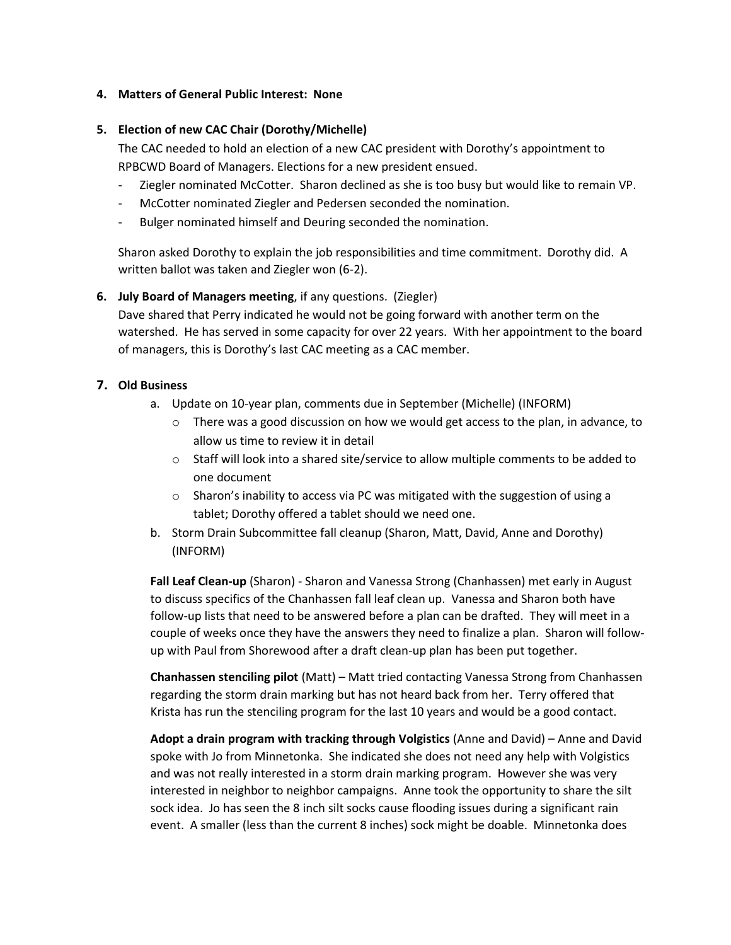#### **4. Matters of General Public Interest: None**

### **5. Election of new CAC Chair (Dorothy/Michelle)**

The CAC needed to hold an election of a new CAC president with Dorothy's appointment to RPBCWD Board of Managers. Elections for a new president ensued.

- Ziegler nominated McCotter. Sharon declined as she is too busy but would like to remain VP.
- McCotter nominated Ziegler and Pedersen seconded the nomination.
- Bulger nominated himself and Deuring seconded the nomination.

Sharon asked Dorothy to explain the job responsibilities and time commitment. Dorothy did. A written ballot was taken and Ziegler won (6-2).

### **6. July Board of Managers meeting**, if any questions. (Ziegler)

Dave shared that Perry indicated he would not be going forward with another term on the watershed. He has served in some capacity for over 22 years. With her appointment to the board of managers, this is Dorothy's last CAC meeting as a CAC member.

### **7. Old Business**

- a. Update on 10-year plan, comments due in September (Michelle) (INFORM)
	- $\circ$  There was a good discussion on how we would get access to the plan, in advance, to allow us time to review it in detail
	- $\circ$  Staff will look into a shared site/service to allow multiple comments to be added to one document
	- o Sharon's inability to access via PC was mitigated with the suggestion of using a tablet; Dorothy offered a tablet should we need one.
- b. Storm Drain Subcommittee fall cleanup (Sharon, Matt, David, Anne and Dorothy) (INFORM)

**Fall Leaf Clean-up** (Sharon) - Sharon and Vanessa Strong (Chanhassen) met early in August to discuss specifics of the Chanhassen fall leaf clean up. Vanessa and Sharon both have follow-up lists that need to be answered before a plan can be drafted. They will meet in a couple of weeks once they have the answers they need to finalize a plan. Sharon will followup with Paul from Shorewood after a draft clean-up plan has been put together.

**Chanhassen stenciling pilot** (Matt) – Matt tried contacting Vanessa Strong from Chanhassen regarding the storm drain marking but has not heard back from her. Terry offered that Krista has run the stenciling program for the last 10 years and would be a good contact.

**Adopt a drain program with tracking through Volgistics** (Anne and David) – Anne and David spoke with Jo from Minnetonka. She indicated she does not need any help with Volgistics and was not really interested in a storm drain marking program. However she was very interested in neighbor to neighbor campaigns. Anne took the opportunity to share the silt sock idea. Jo has seen the 8 inch silt socks cause flooding issues during a significant rain event. A smaller (less than the current 8 inches) sock might be doable. Minnetonka does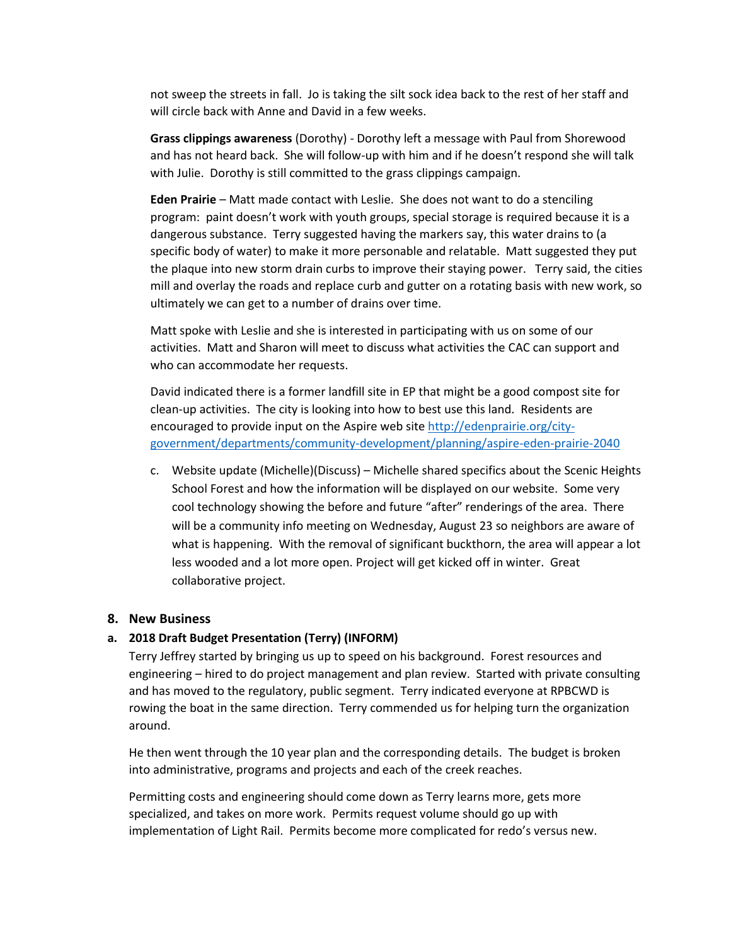not sweep the streets in fall. Jo is taking the silt sock idea back to the rest of her staff and will circle back with Anne and David in a few weeks.

**Grass clippings awareness** (Dorothy) - Dorothy left a message with Paul from Shorewood and has not heard back. She will follow-up with him and if he doesn't respond she will talk with Julie. Dorothy is still committed to the grass clippings campaign.

**Eden Prairie** – Matt made contact with Leslie. She does not want to do a stenciling program: paint doesn't work with youth groups, special storage is required because it is a dangerous substance. Terry suggested having the markers say, this water drains to (a specific body of water) to make it more personable and relatable. Matt suggested they put the plaque into new storm drain curbs to improve their staying power. Terry said, the cities mill and overlay the roads and replace curb and gutter on a rotating basis with new work, so ultimately we can get to a number of drains over time.

Matt spoke with Leslie and she is interested in participating with us on some of our activities. Matt and Sharon will meet to discuss what activities the CAC can support and who can accommodate her requests.

David indicated there is a former landfill site in EP that might be a good compost site for clean-up activities. The city is looking into how to best use this land. Residents are encouraged to provide input on the Aspire web site [http://edenprairie.org/city](http://edenprairie.org/city-government/departments/community-development/planning/aspire-eden-prairie-2040)[government/departments/community-development/planning/aspire-eden-prairie-2040](http://edenprairie.org/city-government/departments/community-development/planning/aspire-eden-prairie-2040)

c. Website update (Michelle)(Discuss) – Michelle shared specifics about the Scenic Heights School Forest and how the information will be displayed on our website. Some very cool technology showing the before and future "after" renderings of the area. There will be a community info meeting on Wednesday, August 23 so neighbors are aware of what is happening. With the removal of significant buckthorn, the area will appear a lot less wooded and a lot more open. Project will get kicked off in winter. Great collaborative project.

#### **8. New Business**

#### **a. 2018 Draft Budget Presentation (Terry) (INFORM)**

Terry Jeffrey started by bringing us up to speed on his background. Forest resources and engineering – hired to do project management and plan review. Started with private consulting and has moved to the regulatory, public segment. Terry indicated everyone at RPBCWD is rowing the boat in the same direction. Terry commended us for helping turn the organization around.

He then went through the 10 year plan and the corresponding details. The budget is broken into administrative, programs and projects and each of the creek reaches.

Permitting costs and engineering should come down as Terry learns more, gets more specialized, and takes on more work. Permits request volume should go up with implementation of Light Rail. Permits become more complicated for redo's versus new.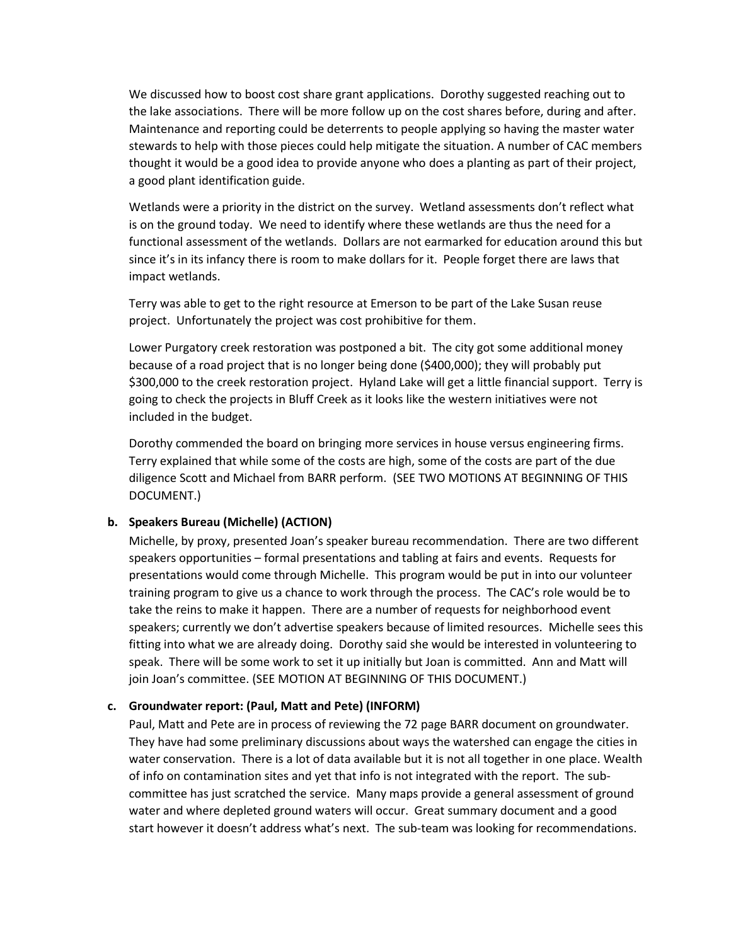We discussed how to boost cost share grant applications. Dorothy suggested reaching out to the lake associations. There will be more follow up on the cost shares before, during and after. Maintenance and reporting could be deterrents to people applying so having the master water stewards to help with those pieces could help mitigate the situation. A number of CAC members thought it would be a good idea to provide anyone who does a planting as part of their project, a good plant identification guide.

Wetlands were a priority in the district on the survey. Wetland assessments don't reflect what is on the ground today. We need to identify where these wetlands are thus the need for a functional assessment of the wetlands. Dollars are not earmarked for education around this but since it's in its infancy there is room to make dollars for it. People forget there are laws that impact wetlands.

Terry was able to get to the right resource at Emerson to be part of the Lake Susan reuse project. Unfortunately the project was cost prohibitive for them.

Lower Purgatory creek restoration was postponed a bit. The city got some additional money because of a road project that is no longer being done (\$400,000); they will probably put \$300,000 to the creek restoration project. Hyland Lake will get a little financial support. Terry is going to check the projects in Bluff Creek as it looks like the western initiatives were not included in the budget.

Dorothy commended the board on bringing more services in house versus engineering firms. Terry explained that while some of the costs are high, some of the costs are part of the due diligence Scott and Michael from BARR perform. (SEE TWO MOTIONS AT BEGINNING OF THIS DOCUMENT.)

#### **b. Speakers Bureau (Michelle) (ACTION)**

Michelle, by proxy, presented Joan's speaker bureau recommendation. There are two different speakers opportunities – formal presentations and tabling at fairs and events. Requests for presentations would come through Michelle. This program would be put in into our volunteer training program to give us a chance to work through the process. The CAC's role would be to take the reins to make it happen. There are a number of requests for neighborhood event speakers; currently we don't advertise speakers because of limited resources. Michelle sees this fitting into what we are already doing. Dorothy said she would be interested in volunteering to speak. There will be some work to set it up initially but Joan is committed. Ann and Matt will join Joan's committee. (SEE MOTION AT BEGINNING OF THIS DOCUMENT.)

#### **c. Groundwater report: (Paul, Matt and Pete) (INFORM)**

Paul, Matt and Pete are in process of reviewing the 72 page BARR document on groundwater. They have had some preliminary discussions about ways the watershed can engage the cities in water conservation. There is a lot of data available but it is not all together in one place. Wealth of info on contamination sites and yet that info is not integrated with the report. The subcommittee has just scratched the service. Many maps provide a general assessment of ground water and where depleted ground waters will occur. Great summary document and a good start however it doesn't address what's next. The sub-team was looking for recommendations.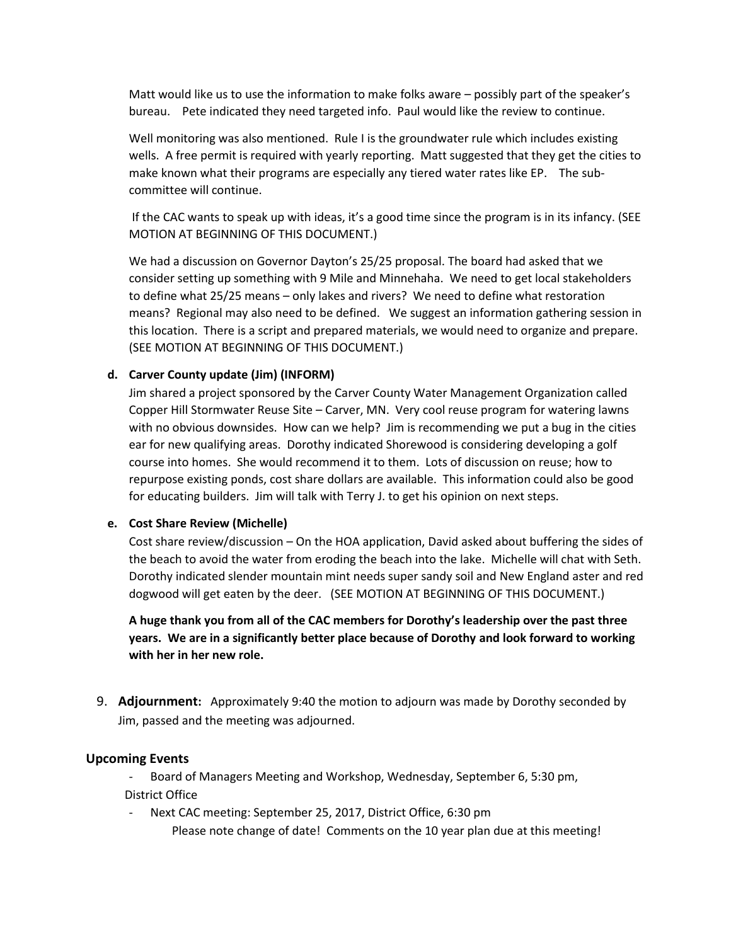Matt would like us to use the information to make folks aware – possibly part of the speaker's bureau. Pete indicated they need targeted info. Paul would like the review to continue.

Well monitoring was also mentioned. Rule I is the groundwater rule which includes existing wells. A free permit is required with yearly reporting. Matt suggested that they get the cities to make known what their programs are especially any tiered water rates like EP. The subcommittee will continue.

If the CAC wants to speak up with ideas, it's a good time since the program is in its infancy. (SEE MOTION AT BEGINNING OF THIS DOCUMENT.)

We had a discussion on Governor Dayton's 25/25 proposal. The board had asked that we consider setting up something with 9 Mile and Minnehaha. We need to get local stakeholders to define what 25/25 means – only lakes and rivers? We need to define what restoration means? Regional may also need to be defined. We suggest an information gathering session in this location. There is a script and prepared materials, we would need to organize and prepare. (SEE MOTION AT BEGINNING OF THIS DOCUMENT.)

#### **d. Carver County update (Jim) (INFORM)**

Jim shared a project sponsored by the Carver County Water Management Organization called Copper Hill Stormwater Reuse Site – Carver, MN. Very cool reuse program for watering lawns with no obvious downsides. How can we help? Jim is recommending we put a bug in the cities ear for new qualifying areas. Dorothy indicated Shorewood is considering developing a golf course into homes. She would recommend it to them. Lots of discussion on reuse; how to repurpose existing ponds, cost share dollars are available. This information could also be good for educating builders. Jim will talk with Terry J. to get his opinion on next steps.

#### **e. Cost Share Review (Michelle)**

Cost share review/discussion – On the HOA application, David asked about buffering the sides of the beach to avoid the water from eroding the beach into the lake. Michelle will chat with Seth. Dorothy indicated slender mountain mint needs super sandy soil and New England aster and red dogwood will get eaten by the deer. (SEE MOTION AT BEGINNING OF THIS DOCUMENT.)

**A huge thank you from all of the CAC members for Dorothy's leadership over the past three years. We are in a significantly better place because of Dorothy and look forward to working with her in her new role.**

9. **Adjournment:** Approximately 9:40 the motion to adjourn was made by Dorothy seconded by Jim, passed and the meeting was adjourned.

#### **Upcoming Events**

- Board of Managers Meeting and Workshop, Wednesday, September 6, 5:30 pm, District Office

Next CAC meeting: September 25, 2017, District Office, 6:30 pm Please note change of date! Comments on the 10 year plan due at this meeting!